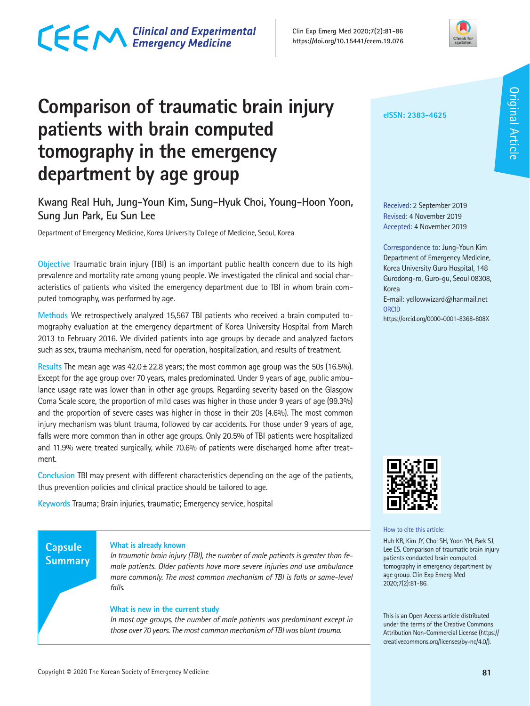### **Comparison of traumatic brain injury patients with brain computed tomography in the emergency department by age group**

**Kwang Real Huh, Jung-Youn Kim, Sung-Hyuk Choi, Young-Hoon Yoon, Sung Jun Park, Eu Sun Lee** 

Department of Emergency Medicine, Korea University College of Medicine, Seoul, Korea

CECM Clinical and Experimental

**Objective** Traumatic brain injury (TBI) is an important public health concern due to its high prevalence and mortality rate among young people. We investigated the clinical and social characteristics of patients who visited the emergency department due to TBI in whom brain computed tomography, was performed by age.

**Methods** We retrospectively analyzed 15,567 TBI patients who received a brain computed tomography evaluation at the emergency department of Korea University Hospital from March 2013 to February 2016. We divided patients into age groups by decade and analyzed factors such as sex, trauma mechanism, need for operation, hospitalization, and results of treatment.

**Results** The mean age was 42.0±22.8 years; the most common age group was the 50s (16.5%). Except for the age group over 70 years, males predominated. Under 9 years of age, public ambulance usage rate was lower than in other age groups. Regarding severity based on the Glasgow Coma Scale score, the proportion of mild cases was higher in those under 9 years of age (99.3%) and the proportion of severe cases was higher in those in their 20s (4.6%). The most common injury mechanism was blunt trauma, followed by car accidents. For those under 9 years of age, falls were more common than in other age groups. Only 20.5% of TBI patients were hospitalized and 11.9% were treated surgically, while 70.6% of patients were discharged home after treatment.

**Conclusion** TBI may present with different characteristics depending on the age of the patients, thus prevention policies and clinical practice should be tailored to age.

**Keywords** Trauma; Brain injuries, traumatic; Emergency service, hospital

### **Capsule Summary**

### **What is already known**

*In traumatic brain injury (TBI), the number of male patients is greater than female patients. Older patients have more severe injuries and use ambulance more commonly. The most common mechanism of TBI is falls or same-level falls.* 

### **What is new in the current study**

*In most age groups, the number of male patients was predominant except in those over 70 years. The most common mechanism of TBI was blunt trauma.*

### Received: 2 September 2019 Revised: 4 November 2019 Accepted: 4 November 2019

**eISSN: 2383-4625**

Correspondence to: Jung-Youn Kim Department of Emergency Medicine, Korea University Guro Hospital, 148 Gurodong-ro, Guro-gu, Seoul 08308, Korea

E-mail: yellowwizard@hanmail.net **ORCID** 

https://orcid.org/0000-0001-8368-808X



How to cite this article:

Huh KR, Kim JY, Choi SH, Yoon YH, Park SJ, Lee ES. Comparison of traumatic brain injury patients conducted brain computed tomography in emergency department by age group. Clin Exp Emerg Med 2020;7(2):81-86.

This is an Open Access article distributed under the terms of the Creative Commons Attribution Non-Commercial License (https:// creativecommons.org/licenses/by-nc/4.0/).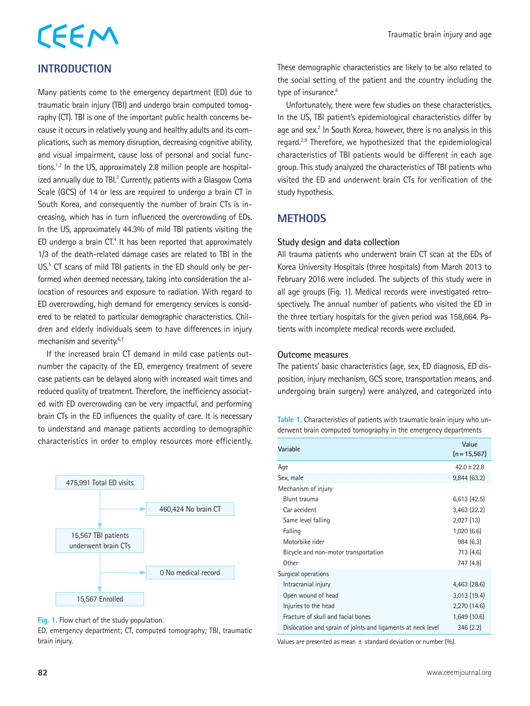# CEEM

### **INTRODUCTION**

Many patients come to the emergency department (ED) due to traumatic brain injury (TBI) and undergo brain computed tomography (CT). TBI is one of the important public health concerns because it occurs in relatively young and healthy adults and its complications, such as memory disruption, decreasing cognitive ability, and visual impairment, cause loss of personal and social functions.1,2 In the US, approximately 2.8 million people are hospitalized annually due to TBI.<sup>3</sup> Currently, patients with a Glasgow Coma Scale (GCS) of 14 or less are required to undergo a brain CT in South Korea, and consequently the number of brain CTs is increasing, which has in turn influenced the overcrowding of EDs. In the US, approximately 44.3% of mild TBI patients visiting the ED undergo a brain  $CT<sup>4</sup>$  It has been reported that approximately 1/3 of the death-related damage cases are related to TBI in the US.<sup>5</sup> CT scans of mild TBI patients in the ED should only be performed when deemed necessary, taking into consideration the allocation of resources and exposure to radiation. With regard to ED overcrowding, high demand for emergency services is considered to be related to particular demographic characteristics. Children and elderly individuals seem to have differences in injury mechanism and severity.<sup>6,7</sup>

If the increased brain CT demand in mild case patients outnumber the capacity of the ED, emergency treatment of severe case patients can be delayed along with increased wait times and reduced quality of treatment. Therefore, the inefficiency associated with ED overcrowding can be very impactful, and performing brain CTs in the ED influences the quality of care. It is necessary to understand and manage patients according to demographic characteristics in order to employ resources more efficiently.



**Fig. 1.** Flow chart of the study population.

ED, emergency department; CT, computed tomography; TBI, traumatic brain injury.

These demographic characteristics are likely to be also related to the social setting of the patient and the country including the type of insurance.<sup>8</sup>

Unfortunately, there were few studies on these characteristics. In the US, TBI patient's epidemiological characteristics differ by age and sex.<sup>2</sup> In South Korea, however, there is no analysis in this regard.2,9 Therefore, we hypothesized that the epidemiological characteristics of TBI patients would be different in each age group. This study analyzed the characteristics of TBI patients who visited the ED and underwent brain CTs for verification of the study hypothesis.

### **METHODS**

### **Study design and data collection**

All trauma patients who underwent brain CT scan at the EDs of Korea University Hospitals (three hospitals) from March 2013 to February 2016 were included. The subjects of this study were in all age groups (Fig. 1). Medical records were investigated retrospectively. The annual number of patients who visited the ED in the three tertiary hospitals for the given period was 158,664. Patients with incomplete medical records were excluded.

### **Outcome measures**

The patients' basic characteristics (age, sex, ED diagnosis, ED disposition, injury mechanism, GCS score, transportation means, and undergoing brain surgery) were analyzed, and categorized into

**Table 1.** Characteristics of patients with traumatic brain injury who underwent brain computed tomography in the emergency departments

| Variable                                                     | Value<br>$(n = 15, 567)$ |
|--------------------------------------------------------------|--------------------------|
| Age                                                          | $42.0 \pm 22.8$          |
| Sex, male                                                    | 9,844(63.2)              |
| Mechanism of injury                                          |                          |
| Blunt trauma                                                 | 6,613(42.5)              |
| Car accident                                                 | 3,463(22.2)              |
| Same level falling                                           | 2,027(13)                |
| Falling                                                      | 1,020(6.6)               |
| Motorbike rider                                              | 984 (6.3)                |
| Bicycle and non-motor transportation                         | 713 (4.6)                |
| Other                                                        | 747 (4.8)                |
| Surgical operations                                          |                          |
| Intracranial injury                                          | 4,463 (28.6)             |
| Open wound of head                                           | 3,013 (19.4)             |
| Injuries to the head                                         | 2,270 (14.6)             |
| Fracture of skull and facial bones                           | 1,649 (10.6)             |
| Dislocation and sprain of joints and ligaments at neck level | 346(2.2)                 |

Values are presented as mean  $\pm$  standard deviation or number (%).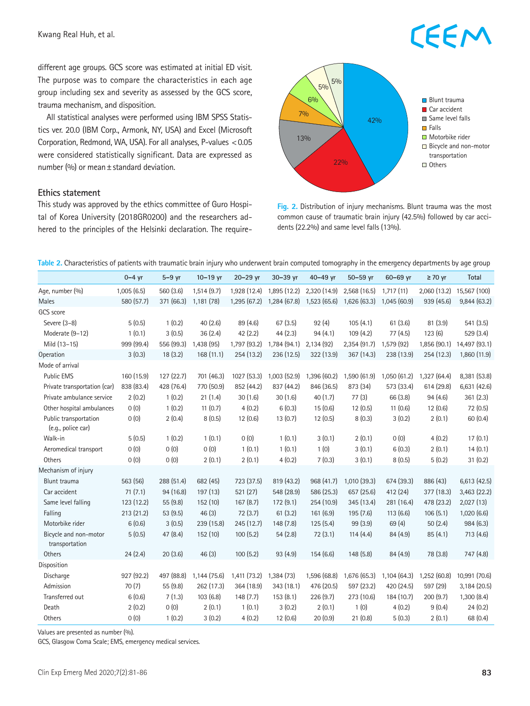Kwang Real Huh, et al.

### **CEEM**

different age groups. GCS score was estimated at initial ED visit. The purpose was to compare the characteristics in each age group including sex and severity as assessed by the GCS score, trauma mechanism, and disposition.

All statistical analyses were performed using IBM SPSS Statistics ver. 20.0 (IBM Corp., Armonk, NY, USA) and Excel (Microsoft Corporation, Redmond, WA, USA). For all analyses, P-values <0.05 were considered statistically significant. Data are expressed as number (%) or mean  $\pm$  standard deviation.

### **Ethics statement**

This study was approved by the ethics committee of Guro Hospital of Korea University (2018GR0200) and the researchers adhered to the principles of the Helsinki declaration. The require-



**Fig. 2.** Distribution of injury mechanisms. Blunt trauma was the most common cause of traumatic brain injury (42.5%) followed by car accidents (22.2%) and same level falls (13%).

**Table 2.** Characteristics of patients with traumatic brain injury who underwent brain computed tomography in the emergency departments by age group

|                                             | $0 - 4$ yr | $5-9$ yr   | $10 - 19$ yr | 20-29 yr     | $30-39$ yr   | $40 - 49$ yr | $50-59$ yr   | $60 - 69$ yr | $\geq 70$ yr | <b>Total</b>  |
|---------------------------------------------|------------|------------|--------------|--------------|--------------|--------------|--------------|--------------|--------------|---------------|
| Age, number (%)                             | 1,005(6.5) | 560 (3.6)  | 1,514(9.7)   | 1,928 (12.4) | 1,895 (12.2) | 2,320 (14.9) | 2,568 (16.5) | 1,717(11)    | 2,060 (13.2) | 15,567 (100)  |
| Males                                       | 580 (57.7) | 371 (66.3) | 1,181 (78)   | 1,295 (67.2) | 1,284 (67.8) | 1,523 (65.6) | 1,626 (63.3) | 1,045 (60.9) | 939 (45.6)   | 9,844 (63.2)  |
| GCS score                                   |            |            |              |              |              |              |              |              |              |               |
| Severe (3-8)                                | 5(0.5)     | 1(0.2)     | 40(2.6)      | 89 (4.6)     | 67(3.5)      | 92(4)        | 105(4.1)     | 61(3.6)      | 81(3.9)      | 541 (3.5)     |
| Moderate (9-12)                             | 1(0.1)     | 3(0.5)     | 36(2.4)      | 42(2.2)      | 44(2.3)      | 94(4.1)      | 109(4.2)     | 77 (4.5)     | 123(6)       | 529 (3.4)     |
| Mild (13-15)                                | 999 (99.4) | 556 (99.3) | 1,438 (95)   | 1,797 (93.2) | 1,784 (94.1) | 2,134 (92)   | 2,354 (91.7) | 1,579 (92)   | 1,856 (90.1) | 14,497 (93.1) |
| Operation                                   | 3(0.3)     | 18(3.2)    | 168 (11.1)   | 254 (13.2)   | 236 (12.5)   | 322 (13.9)   | 367 (14.3)   | 238 (13.9)   | 254 (12.3)   | 1,860 (11.9)  |
| Mode of arrival                             |            |            |              |              |              |              |              |              |              |               |
| <b>Public EMS</b>                           | 160 (15.9) | 127 (22.7) | 701 (46.3)   | 1027 (53.3)  | 1,003(52.9)  | 1,396 (60.2) | 1,590 (61.9) | 1,050(61.2)  | 1,327 (64.4) | 8,381 (53.8)  |
| Private transportation (car)                | 838 (83.4) | 428 (76.4) | 770 (50.9)   | 852 (44.2)   | 837 (44.2)   | 846 (36.5)   | 873 (34)     | 573 (33.4)   | 614 (29.8)   | 6,631 (42.6)  |
| Private ambulance service                   | 2(0.2)     | 1(0.2)     | 21(1.4)      | 30(1.6)      | 30(1.6)      | 40(1.7)      | 77(3)        | 66 (3.8)     | 94(4.6)      | 361(2.3)      |
| Other hospital ambulances                   | 0(0)       | 1(0.2)     | 11(0.7)      | 4(0.2)       | 6(0.3)       | 15(0.6)      | 12(0.5)      | 11(0.6)      | 12(0.6)      | 72 (0.5)      |
| Public transportation<br>(e.g., police car) | 0(0)       | 2(0.4)     | 8(0.5)       | 12(0.6)      | 13(0.7)      | 12(0.5)      | 8(0.3)       | 3(0.2)       | 2(0.1)       | 60(0.4)       |
| Walk-in                                     | 5(0.5)     | 1(0.2)     | 1(0.1)       | 0(0)         | 1(0.1)       | 3(0.1)       | 2(0.1)       | 0(0)         | 4(0.2)       | 17(0.1)       |
| Aeromedical transport                       | 0(0)       | 0(0)       | 0(0)         | 1(0.1)       | 1(0.1)       | 1(0)         | 3(0.1)       | 6(0.3)       | 2(0.1)       | 14(0.1)       |
| Others                                      | 0(0)       | 0(0)       | 2(0.1)       | 2(0.1)       | 4(0.2)       | 7(0.3)       | 3(0.1)       | 8(0.5)       | 5(0.2)       | 31(0.2)       |
| Mechanism of injury                         |            |            |              |              |              |              |              |              |              |               |
| Blunt trauma                                | 563 (56)   | 288 (51.4) | 682 (45)     | 723 (37.5)   | 819 (43.2)   | 968 (41.7)   | 1,010 (39.3) | 674 (39.3)   | 886 (43)     | 6,613 (42.5)  |
| Car accident                                | 71(7.1)    | 94 (16.8)  | 197 (13)     | 521(27)      | 548 (28.9)   | 586 (25.3)   | 657 (25.6)   | 412 (24)     | 377 (18.3)   | 3,463 (22.2)  |
| Same level falling                          | 123 (12.2) | 55 (9.8)   | 152 (10)     | 167(8.7)     | 172(9.1)     | 254 (10.9)   | 345 (13.4)   | 281 (16.4)   | 478 (23.2)   | 2,027(13)     |
| Falling                                     | 213 (21.2) | 53 (9.5)   | 46(3)        | 72(3.7)      | 61(3.2)      | 161(6.9)     | 195 (7.6)    | 113(6.6)     | 106(5.1)     | 1,020(6.6)    |
| Motorbike rider                             | 6(0.6)     | 3(0.5)     | 239 (15.8)   | 245 (12.7)   | 148 (7.8)    | 125(5.4)     | 99 (3.9)     | 69 (4)       | 50(2.4)      | 984 (6.3)     |
| Bicycle and non-motor<br>transportation     | 5(0.5)     | 47 (8.4)   | 152 (10)     | 100(5.2)     | 54(2.8)      | 72(3.1)      | 114(4.4)     | 84 (4.9)     | 85(4.1)      | 713 (4.6)     |
| Others                                      | 24(2.4)    | 20(3.6)    | 46 (3)       | 100(5.2)     | 93 (4.9)     | 154(6.6)     | 148 (5.8)    | 84 (4.9)     | 78 (3.8)     | 747 (4.8)     |
| Disposition                                 |            |            |              |              |              |              |              |              |              |               |
| Discharge                                   | 927 (92.2) | 497 (88.8) | 1,144 (75.6) | 1,411 (73.2) | 1,384(73)    | 1,596 (68.8) | 1,676 (65.3) | 1,104 (64.3) | 1,252 (60.8) | 10,991 (70.6) |
| Admission                                   | 70(7)      | 55 (9.8)   | 262 (17.3)   | 364 (18.9)   | 343 (18.1)   | 476 (20.5)   | 597 (23.2)   | 420 (24.5)   | 597 (29)     | 3,184 (20.5)  |
| Transferred out                             | 6(0.6)     | 7(1.3)     | 103(6.8)     | 148(7.7)     | 153(8.1)     | 226(9.7)     | 273 (10.6)   | 184 (10.7)   | 200(9.7)     | 1,300 (8.4)   |
| Death                                       | 2(0.2)     | 0(0)       | 2(0.1)       | 1(0.1)       | 3(0.2)       | 2(0.1)       | 1(0)         | 4(0.2)       | 9(0.4)       | 24(0.2)       |
| Others                                      | 0(0)       | 1(0.2)     | 3(0.2)       | 4(0.2)       | 12(0.6)      | 20(0.9)      | 21(0.8)      | 5(0.3)       | 2(0.1)       | 68 (0.4)      |

Values are presented as number (%).

GCS, Glasgow Coma Scale; EMS, emergency medical services.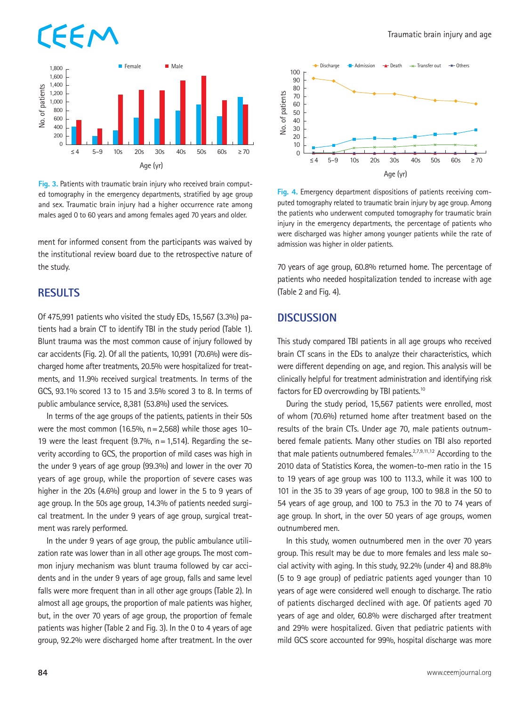## FFN



**Fig. 3.** Patients with traumatic brain injury who received brain computed tomography in the emergency departments, stratified by age group and sex. Traumatic brain injury had a higher occurrence rate among males aged 0 to 60 years and among females aged 70 years and older.

ment for informed consent from the participants was waived by the institutional review board due to the retrospective nature of the study.

### **RESULTS**

Of 475,991 patients who visited the study EDs, 15,567 (3.3%) patients had a brain CT to identify TBI in the study period (Table 1). Blunt trauma was the most common cause of injury followed by car accidents (Fig. 2). Of all the patients, 10,991 (70.6%) were discharged home after treatments, 20.5% were hospitalized for treatments, and 11.9% received surgical treatments. In terms of the GCS, 93.1% scored 13 to 15 and 3.5% scored 3 to 8. In terms of public ambulance service, 8,381 (53.8%) used the services.

In terms of the age groups of the patients, patients in their 50s were the most common  $(16.5\%, n=2,568)$  while those ages 10– 19 were the least frequent (9.7%,  $n = 1,514$ ). Regarding the severity according to GCS, the proportion of mild cases was high in the under 9 years of age group (99.3%) and lower in the over 70 years of age group, while the proportion of severe cases was higher in the 20s (4.6%) group and lower in the 5 to 9 years of age group. In the 50s age group, 14.3% of patients needed surgical treatment. In the under 9 years of age group, surgical treatment was rarely performed.

In the under 9 years of age group, the public ambulance utilization rate was lower than in all other age groups. The most common injury mechanism was blunt trauma followed by car accidents and in the under 9 years of age group, falls and same level falls were more frequent than in all other age groups (Table 2). In almost all age groups, the proportion of male patients was higher, but, in the over 70 years of age group, the proportion of female patients was higher (Table 2 and Fig. 3). In the 0 to 4 years of age group, 92.2% were discharged home after treatment. In the over



**Fig. 4.** Emergency department dispositions of patients receiving computed tomography related to traumatic brain injury by age group. Among the patients who underwent computed tomography for traumatic brain injury in the emergency departments, the percentage of patients who were discharged was higher among younger patients while the rate of admission was higher in older patients.

70 years of age group, 60.8% returned home. The percentage of patients who needed hospitalization tended to increase with age (Table 2 and Fig. 4).

### **DISCUSSION**

This study compared TBI patients in all age groups who received brain CT scans in the EDs to analyze their characteristics, which were different depending on age, and region. This analysis will be clinically helpful for treatment administration and identifying risk factors for ED overcrowding by TBI patients.<sup>10</sup>

During the study period, 15,567 patients were enrolled, most of whom (70.6%) returned home after treatment based on the results of the brain CTs. Under age 70, male patients outnumbered female patients. Many other studies on TBI also reported that male patients outnumbered females. $27,9,11,12$  According to the 2010 data of Statistics Korea, the women-to-men ratio in the 15 to 19 years of age group was 100 to 113.3, while it was 100 to 101 in the 35 to 39 years of age group, 100 to 98.8 in the 50 to 54 years of age group, and 100 to 75.3 in the 70 to 74 years of age group. In short, in the over 50 years of age groups, women outnumbered men.

In this study, women outnumbered men in the over 70 years group. This result may be due to more females and less male social activity with aging. In this study, 92.2% (under 4) and 88.8% (5 to 9 age group) of pediatric patients aged younger than 10 years of age were considered well enough to discharge. The ratio of patients discharged declined with age. Of patients aged 70 years of age and older, 60.8% were discharged after treatment and 29% were hospitalized. Given that pediatric patients with mild GCS score accounted for 99%, hospital discharge was more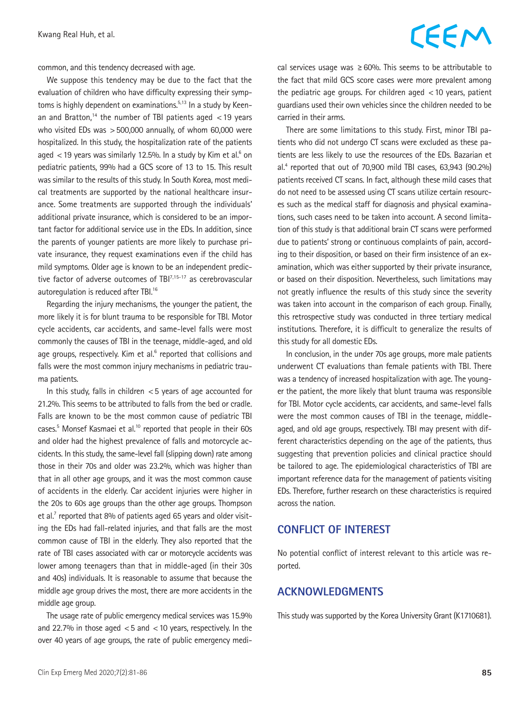### CEEM

common, and this tendency decreased with age.

We suppose this tendency may be due to the fact that the evaluation of children who have difficulty expressing their symptoms is highly dependent on examinations.<sup>5,13</sup> In a study by Keenan and Bratton.<sup>14</sup> the number of TBI patients aged  $<$  19 years who visited EDs was >500,000 annually, of whom 60,000 were hospitalized. In this study, the hospitalization rate of the patients aged  $<$  19 years was similarly 12.5%. In a study by Kim et al. $^6$  on pediatric patients, 99% had a GCS score of 13 to 15. This result was similar to the results of this study. In South Korea, most medical treatments are supported by the national healthcare insurance. Some treatments are supported through the individuals' additional private insurance, which is considered to be an important factor for additional service use in the EDs. In addition, since the parents of younger patients are more likely to purchase private insurance, they request examinations even if the child has mild symptoms. Older age is known to be an independent predictive factor of adverse outcomes of TBI<sup>7,15-17</sup> as cerebrovascular autoregulation is reduced after TBI.<sup>16</sup>

Regarding the injury mechanisms, the younger the patient, the more likely it is for blunt trauma to be responsible for TBI. Motor cycle accidents, car accidents, and same-level falls were most commonly the causes of TBI in the teenage, middle-aged, and old age groups, respectively. Kim et al.<sup>6</sup> reported that collisions and falls were the most common injury mechanisms in pediatric trauma patients.

In this study, falls in children  $<$  5 years of age accounted for 21.2%. This seems to be attributed to falls from the bed or cradle. Falls are known to be the most common cause of pediatric TBI cases.<sup>5</sup> Monsef Kasmaei et al.<sup>10</sup> reported that people in their 60s and older had the highest prevalence of falls and motorcycle accidents. In this study, the same-level fall (slipping down) rate among those in their 70s and older was 23.2%, which was higher than that in all other age groups, and it was the most common cause of accidents in the elderly. Car accident injuries were higher in the 20s to 60s age groups than the other age groups. Thompson et al. $7$  reported that 8% of patients aged 65 years and older visiting the EDs had fall-related injuries, and that falls are the most common cause of TBI in the elderly. They also reported that the rate of TBI cases associated with car or motorcycle accidents was lower among teenagers than that in middle-aged (in their 30s and 40s) individuals. It is reasonable to assume that because the middle age group drives the most, there are more accidents in the middle age group.

The usage rate of public emergency medical services was 15.9% and 22.7% in those aged  $<$  5 and  $<$  10 years, respectively. In the over 40 years of age groups, the rate of public emergency medical services usage was  $\geq 60\%$ . This seems to be attributable to the fact that mild GCS score cases were more prevalent among the pediatric age groups. For children aged  $<$  10 years, patient guardians used their own vehicles since the children needed to be carried in their arms.

There are some limitations to this study. First, minor TBI patients who did not undergo CT scans were excluded as these patients are less likely to use the resources of the EDs. Bazarian et al.4 reported that out of 70,900 mild TBI cases, 63,943 (90.2%) patients received CT scans. In fact, although these mild cases that do not need to be assessed using CT scans utilize certain resources such as the medical staff for diagnosis and physical examinations, such cases need to be taken into account. A second limitation of this study is that additional brain CT scans were performed due to patients' strong or continuous complaints of pain, according to their disposition, or based on their firm insistence of an examination, which was either supported by their private insurance, or based on their disposition. Nevertheless, such limitations may not greatly influence the results of this study since the severity was taken into account in the comparison of each group. Finally, this retrospective study was conducted in three tertiary medical institutions. Therefore, it is difficult to generalize the results of this study for all domestic EDs.

In conclusion, in the under 70s age groups, more male patients underwent CT evaluations than female patients with TBI. There was a tendency of increased hospitalization with age. The younger the patient, the more likely that blunt trauma was responsible for TBI. Motor cycle accidents, car accidents, and same-level falls were the most common causes of TBI in the teenage, middleaged, and old age groups, respectively. TBI may present with different characteristics depending on the age of the patients, thus suggesting that prevention policies and clinical practice should be tailored to age. The epidemiological characteristics of TBI are important reference data for the management of patients visiting EDs. Therefore, further research on these characteristics is required across the nation.

### **CONFLICT OF INTEREST**

No potential conflict of interest relevant to this article was reported.

### **ACKNOWLEDGMENTS**

This study was supported by the Korea University Grant (K1710681).